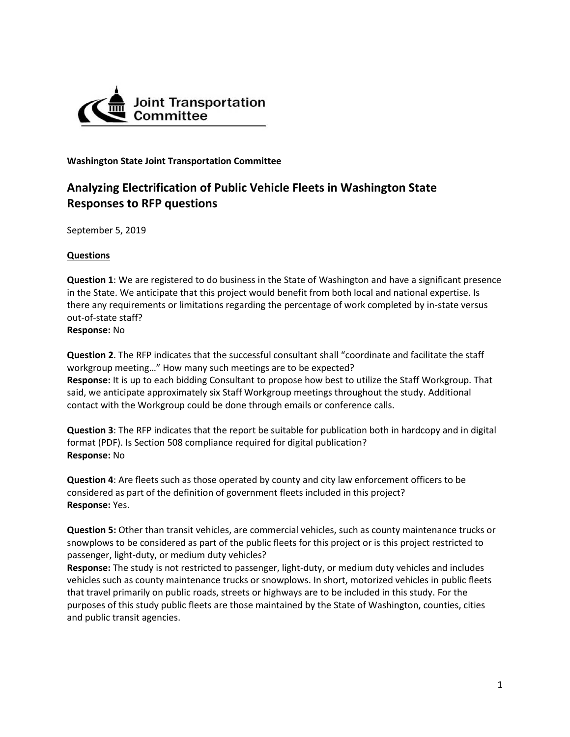

**Washington State Joint Transportation Committee** 

## **Analyzing Electrification of Public Vehicle Fleets in Washington State Responses to RFP questions**

September 5, 2019

## **Questions**

**Question 1**: We are registered to do business in the State of Washington and have a significant presence in the State. We anticipate that this project would benefit from both local and national expertise. Is there any requirements or limitations regarding the percentage of work completed by in-state versus out-of-state staff?

**Response:** No

**Question 2**. The RFP indicates that the successful consultant shall "coordinate and facilitate the staff workgroup meeting…" How many such meetings are to be expected? **Response:** It is up to each bidding Consultant to propose how best to utilize the Staff Workgroup. That said, we anticipate approximately six Staff Workgroup meetings throughout the study. Additional contact with the Workgroup could be done through emails or conference calls.

**Question 3**: The RFP indicates that the report be suitable for publication both in hardcopy and in digital format (PDF). Is Section 508 compliance required for digital publication? **Response:** No

**Question 4**: Are fleets such as those operated by county and city law enforcement officers to be considered as part of the definition of government fleets included in this project? **Response:** Yes.

**Question 5:** Other than transit vehicles, are commercial vehicles, such as county maintenance trucks or snowplows to be considered as part of the public fleets for this project or is this project restricted to passenger, light-duty, or medium duty vehicles?

**Response:** The study is not restricted to passenger, light-duty, or medium duty vehicles and includes vehicles such as county maintenance trucks or snowplows. In short, motorized vehicles in public fleets that travel primarily on public roads, streets or highways are to be included in this study. For the purposes of this study public fleets are those maintained by the State of Washington, counties, cities and public transit agencies.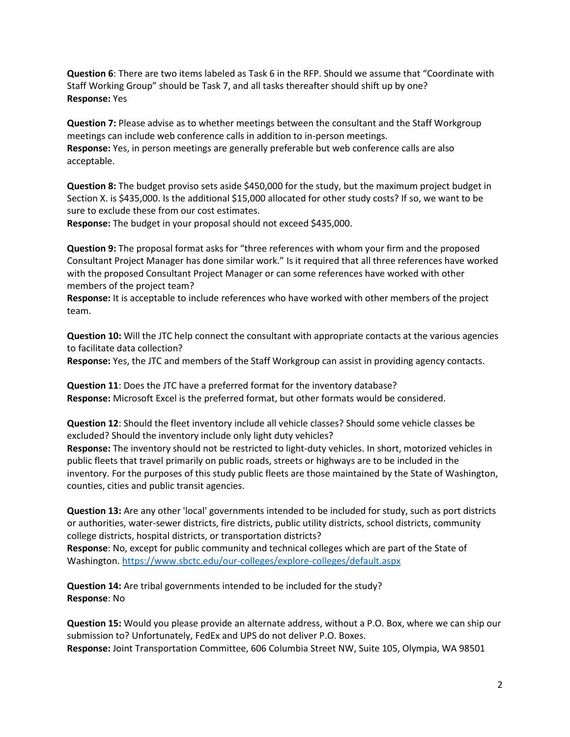**Question 6**: There are two items labeled as Task 6 in the RFP. Should we assume that "Coordinate with Staff Working Group" should be Task 7, and all tasks thereafter should shift up by one? **Response:** Yes

**Question 7:** Please advise as to whether meetings between the consultant and the Staff Workgroup meetings can include web conference calls in addition to in-person meetings. **Response:** Yes, in person meetings are generally preferable but web conference calls are also acceptable.

**Question 8:** The budget proviso sets aside \$450,000 for the study, but the maximum project budget in Section X. is \$435,000. Is the additional \$15,000 allocated for other study costs? If so, we want to be sure to exclude these from our cost estimates.

**Response:** The budget in your proposal should not exceed \$435,000.

**Question 9:** The proposal format asks for "three references with whom your firm and the proposed Consultant Project Manager has done similar work." Is it required that all three references have worked with the proposed Consultant Project Manager or can some references have worked with other members of the project team?

**Response:** It is acceptable to include references who have worked with other members of the project team.

**Question 10:** Will the JTC help connect the consultant with appropriate contacts at the various agencies to facilitate data collection?

**Response:** Yes, the JTC and members of the Staff Workgroup can assist in providing agency contacts.

**Question 11**: Does the JTC have a preferred format for the inventory database? **Response:** Microsoft Excel is the preferred format, but other formats would be considered.

**Question 12**: Should the fleet inventory include all vehicle classes? Should some vehicle classes be excluded? Should the inventory include only light duty vehicles?

**Response:** The inventory should not be restricted to light-duty vehicles. In short, motorized vehicles in public fleets that travel primarily on public roads, streets or highways are to be included in the inventory. For the purposes of this study public fleets are those maintained by the State of Washington, counties, cities and public transit agencies.

**Question 13:** Are any other 'local' governments intended to be included for study, such as port districts or authorities, water-sewer districts, fire districts, public utility districts, school districts, community college districts, hospital districts, or transportation districts?

**Response**: No, except for public community and technical colleges which are part of the State of Washington.<https://www.sbctc.edu/our-colleges/explore-colleges/default.aspx>

**Question 14:** Are tribal governments intended to be included for the study? **Response**: No

**Question 15:** Would you please provide an alternate address, without a P.O. Box, where we can ship our submission to? Unfortunately, FedEx and UPS do not deliver P.O. Boxes. **Response:** Joint Transportation Committee, 606 Columbia Street NW, Suite 105, Olympia, WA 98501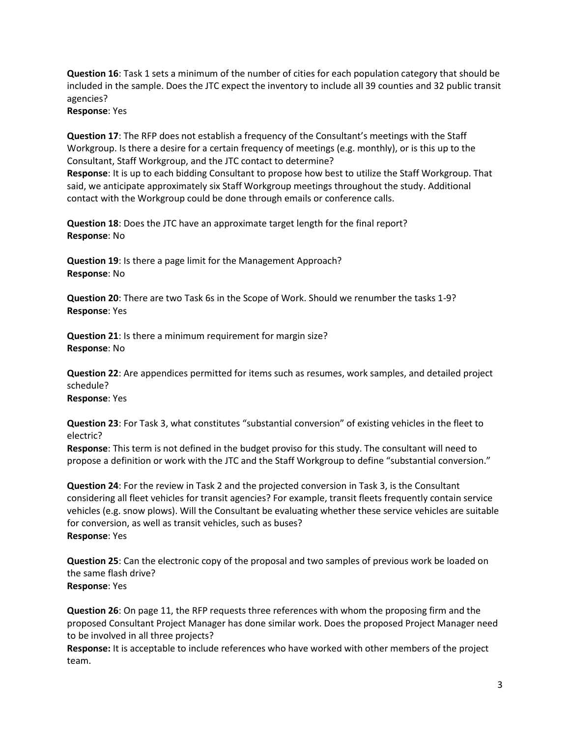**Question 16**: Task 1 sets a minimum of the number of cities for each population category that should be included in the sample. Does the JTC expect the inventory to include all 39 counties and 32 public transit agencies?

**Response**: Yes

**Question 17**: The RFP does not establish a frequency of the Consultant's meetings with the Staff Workgroup. Is there a desire for a certain frequency of meetings (e.g. monthly), or is this up to the Consultant, Staff Workgroup, and the JTC contact to determine?

**Response**: It is up to each bidding Consultant to propose how best to utilize the Staff Workgroup. That said, we anticipate approximately six Staff Workgroup meetings throughout the study. Additional contact with the Workgroup could be done through emails or conference calls.

**Question 18**: Does the JTC have an approximate target length for the final report? **Response**: No

**Question 19**: Is there a page limit for the Management Approach? **Response**: No

**Question 20**: There are two Task 6s in the Scope of Work. Should we renumber the tasks 1-9? **Response**: Yes

**Question 21**: Is there a minimum requirement for margin size? **Response**: No

**Question 22**: Are appendices permitted for items such as resumes, work samples, and detailed project schedule? **Response**: Yes

**Question 23**: For Task 3, what constitutes "substantial conversion" of existing vehicles in the fleet to electric?

**Response**: This term is not defined in the budget proviso for this study. The consultant will need to propose a definition or work with the JTC and the Staff Workgroup to define "substantial conversion."

**Question 24**: For the review in Task 2 and the projected conversion in Task 3, is the Consultant considering all fleet vehicles for transit agencies? For example, transit fleets frequently contain service vehicles (e.g. snow plows). Will the Consultant be evaluating whether these service vehicles are suitable for conversion, as well as transit vehicles, such as buses? **Response**: Yes

**Question 25**: Can the electronic copy of the proposal and two samples of previous work be loaded on the same flash drive? **Response**: Yes

**Question 26**: On page 11, the RFP requests three references with whom the proposing firm and the proposed Consultant Project Manager has done similar work. Does the proposed Project Manager need to be involved in all three projects?

**Response:** It is acceptable to include references who have worked with other members of the project team.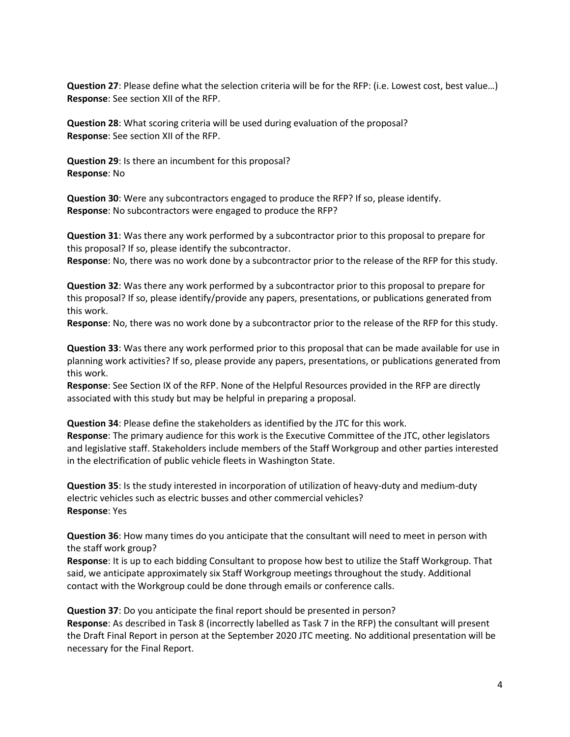**Question 27**: Please define what the selection criteria will be for the RFP: (i.e. Lowest cost, best value…) **Response**: See section XII of the RFP.

**Question 28**: What scoring criteria will be used during evaluation of the proposal? **Response**: See section XII of the RFP.

**Question 29**: Is there an incumbent for this proposal? **Response**: No

**Question 30**: Were any subcontractors engaged to produce the RFP? If so, please identify. **Response**: No subcontractors were engaged to produce the RFP?

**Question 31**: Was there any work performed by a subcontractor prior to this proposal to prepare for this proposal? If so, please identify the subcontractor.

**Response**: No, there was no work done by a subcontractor prior to the release of the RFP for this study.

**Question 32**: Was there any work performed by a subcontractor prior to this proposal to prepare for this proposal? If so, please identify/provide any papers, presentations, or publications generated from this work.

**Response**: No, there was no work done by a subcontractor prior to the release of the RFP for this study.

**Question 33**: Was there any work performed prior to this proposal that can be made available for use in planning work activities? If so, please provide any papers, presentations, or publications generated from this work.

**Response**: See Section IX of the RFP. None of the Helpful Resources provided in the RFP are directly associated with this study but may be helpful in preparing a proposal.

**Question 34**: Please define the stakeholders as identified by the JTC for this work. **Response**: The primary audience for this work is the Executive Committee of the JTC, other legislators and legislative staff. Stakeholders include members of the Staff Workgroup and other parties interested in the electrification of public vehicle fleets in Washington State.

**Question 35**: Is the study interested in incorporation of utilization of heavy-duty and medium-duty electric vehicles such as electric busses and other commercial vehicles? **Response**: Yes

**Question 36**: How many times do you anticipate that the consultant will need to meet in person with the staff work group?

**Response**: It is up to each bidding Consultant to propose how best to utilize the Staff Workgroup. That said, we anticipate approximately six Staff Workgroup meetings throughout the study. Additional contact with the Workgroup could be done through emails or conference calls.

**Question 37**: Do you anticipate the final report should be presented in person? **Response**: As described in Task 8 (incorrectly labelled as Task 7 in the RFP) the consultant will present the Draft Final Report in person at the September 2020 JTC meeting. No additional presentation will be necessary for the Final Report.